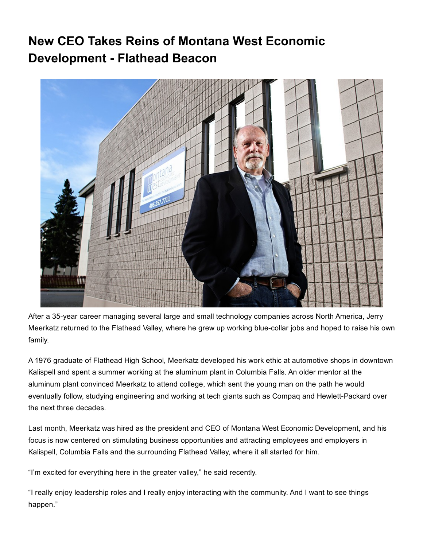## New CEO Takes Reins of Montana West Economic Development - Flathead Beacon



After a 35-year career managing several large and small technology companies across North America, Jerry Meerkatz returned to the Flathead Valley, where he grew up working blue-collar jobs and hoped to raise his own family.

A 1976 graduate of Flathead High School, Meerkatz developed his work ethic at automotive shops in downtown Kalispell and spent a summer working at the aluminum plant in Columbia Falls. An older mentor at the aluminum plant convinced Meerkatz to attend college, which sent the young man on the path he would eventually follow, studying engineering and working at tech giants such as Compaq and Hewlett-Packard over the next three decades.

Last month, Meerkatz was hired as the president and CEO of Montana West Economic Development, and his focus is now centered on stimulating business opportunities and attracting employees and employers in Kalispell, Columbia Falls and the surrounding Flathead Valley, where it all started for him.

"I'm excited for everything here in the greater valley," he said recently.

"I really enjoy leadership roles and I really enjoy interacting with the community. And I want to see things happen."